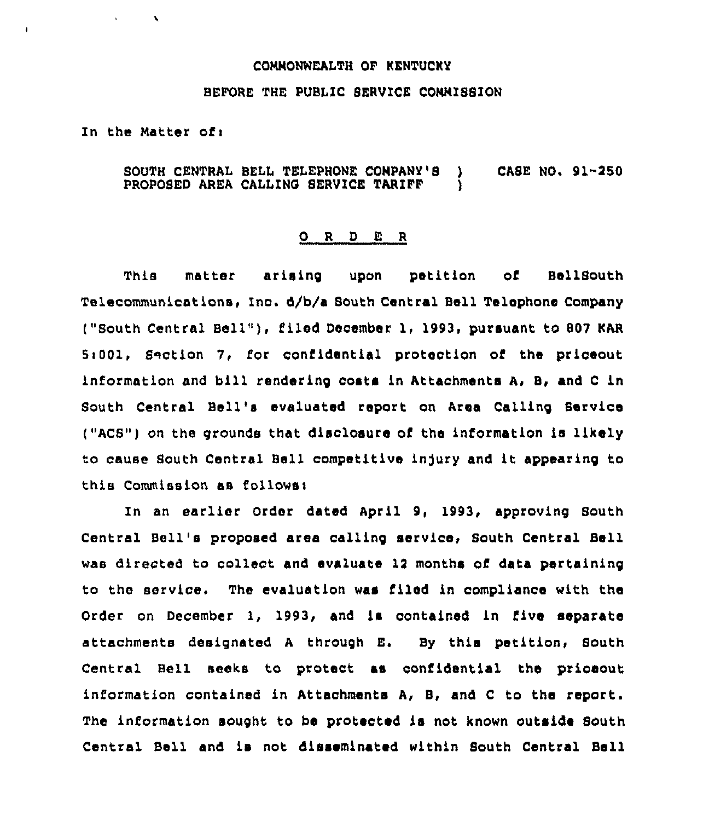## CONNONWEALTH OF KENTUCKY

## BEFORE THE PUBLIC BERVICE CONNISSION

In the Natter of <sup>i</sup>

 $\lambda$ 

SOUTH CENTRAL BELL TELEPHONE COMPANY'S ) CASE NO. 91-250<br>PROPOSED AREA CALLING SERVICE TARIFF ) PROPOSED AREA CALLINO SERVICE TARIFF )

## 0 <sup>R</sup> <sup>D</sup> E <sup>R</sup>

This matter arising upon petition of BellSouth Telecommunications, Inc. d/b/a South Central Bell Telephone Company ("South Central Bell" ), filed December 1, 1993, pursuant to <sup>807</sup> KAR 5:001, Saction 7, for confidential protection of the priceout information and bill rendering costa in Attachments A, B, and <sup>C</sup> in South Central Bell's evaluated report on Area Calling Service  $('ACS")$  on the grounds that disclosure of the information is likely to cause South Central Bell competitive injury and it appearing to this Commission as follows:

In an earlier Order dated April 9, 1993, approving South Central Bell's proposed area calling service, Bouth Central Bell wae directed to collect and evaluate 12 months of data pertaining to the service. The evaluation was filed in compliance with the Order on December 1, 1993, and is contained in five separate attachments designated <sup>A</sup> through E. By this petition, South Central Bell seeks to protect. as confidential the priceout information contained in Attachments A, 8, and <sup>C</sup> to the report. The information sought to be protected is not known outside South Central Bell and is not disseminated within South Central Bell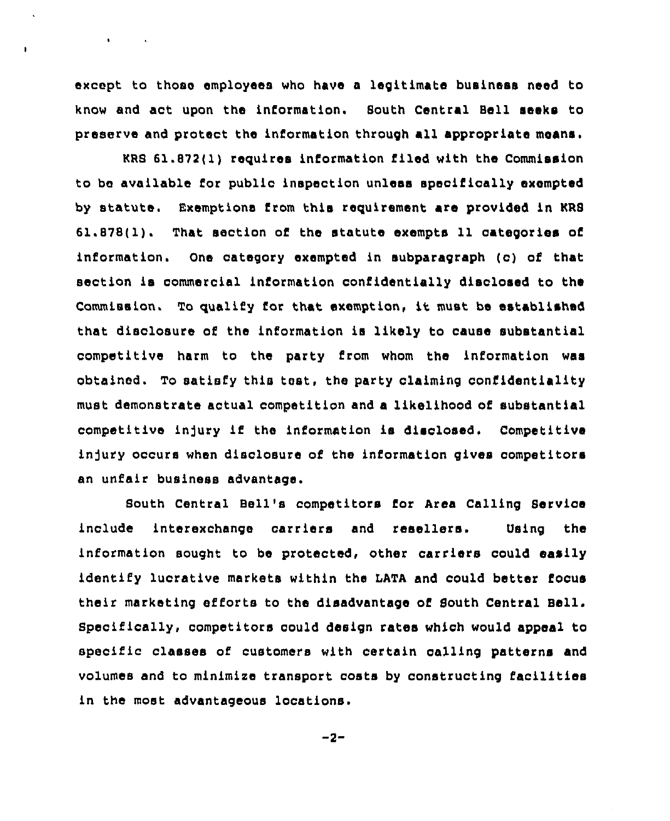except to those employees who have a legitimate business need to know and act upon the information. Bouth Central Bell seeks to preserve and protect the information through all appropriate means.

 $\mathbf{A}$  and  $\mathbf{A}$  are  $\mathbf{A}$  . The  $\mathbf{A}$ 

 $\mathbf{I}$ 

KRS 61.872(1) requires information filed with the Commission to be available for public inspection unless specifically exempted by statute. Exemptions from this requirement are provided in RRS 61.878(1). That section of the statute exempts 11 categories of information. One category exempted in subparagraph (o) of that section is commercial information confidentially disclosed to tha Commission, To qualify for that exemption, it must be established that disclosure of the information is likely to cause substantial competitive harm to the party from whom the information was obtained. To satisfy this test, the party claiming confidentiality must demonstrate actual competition and a likelihood of substantial competitive injury if the information is disclosed. Competitive injury occurs when disclosure of the information gives competitors an unfair business advantage.

Bouth Central Bell's competitors for Area Calling Service include interexchange carriers and resellers. Using the information sought to be protected, other carriers could easily identify lucrative markets within the LATA and could better focus their marketing efforts to the disadvantage of South Central Bell. Specifically, competitors could design rates whioh would appeal to specific classes of customers with certain calling patterns and volumes and to minimize transport costs by constructing facilities in the most advantageous locations.

 $-2-$